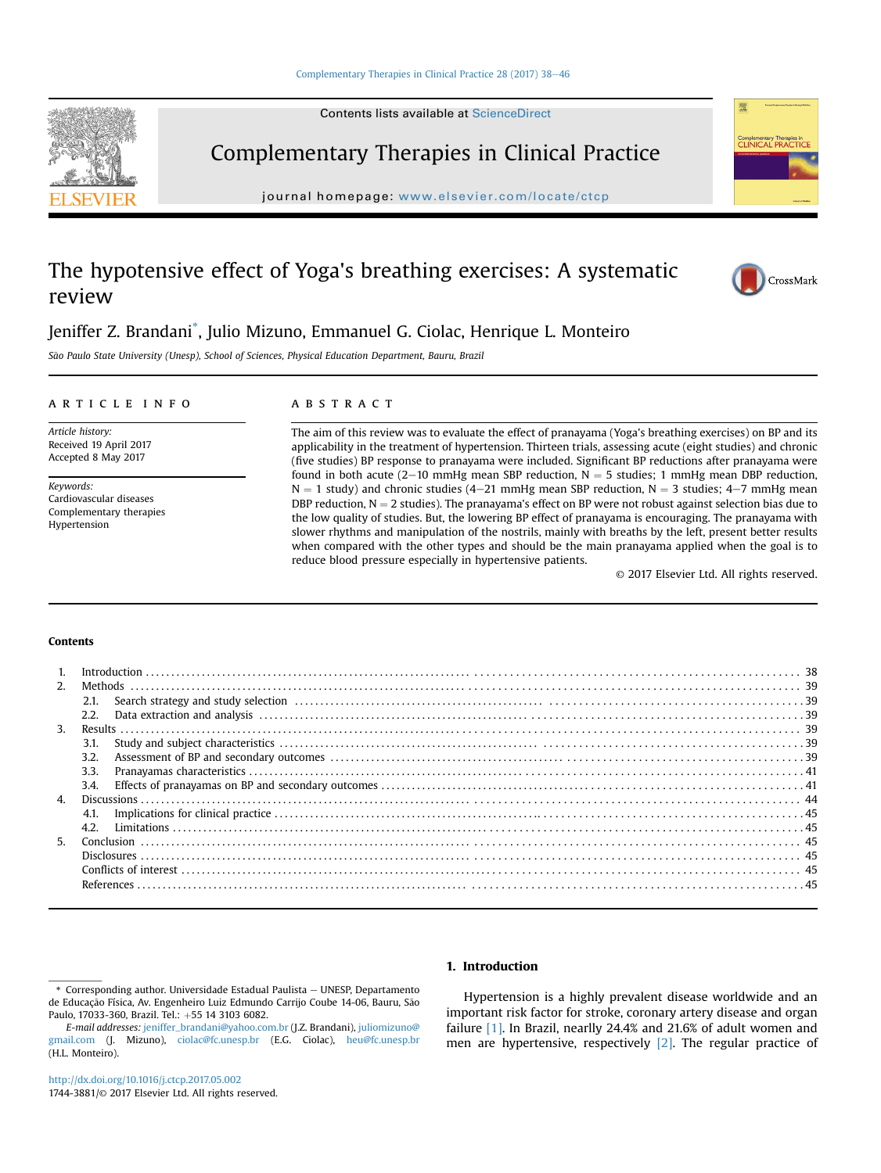### [Complementary Therapies in Clinical Practice 28 \(2017\) 38](http://dx.doi.org/10.1016/j.ctcp.2017.05.002)-[46](http://dx.doi.org/10.1016/j.ctcp.2017.05.002)

Contents lists available at ScienceDirect

Complementary Therapies in Clinical Practice

journal homepage: [www.elsevier.com/locate/ctcp](http://www.elsevier.com/locate/ctcp)

# The hypotensive effect of Yoga's breathing exercises: A systematic review



# Jeniffer Z. Brandani\* , Julio Mizuno, Emmanuel G. Ciolac, Henrique L. Monteiro

São Paulo State University (Unesp), School of Sciences, Physical Education Department, Bauru, Brazil

## article info

Article history: Received 19 April 2017 Accepted 8 May 2017

Keywords: Cardiovascular diseases Complementary therapies Hypertension

# **ABSTRACT**

The aim of this review was to evaluate the effect of pranayama (Yoga's breathing exercises) on BP and its applicability in the treatment of hypertension. Thirteen trials, assessing acute (eight studies) and chronic (five studies) BP response to pranayama were included. Significant BP reductions after pranayama were found in both acute (2-10 mmHg mean SBP reduction,  $N = 5$  studies; 1 mmHg mean DBP reduction,  $N = 1$  study) and chronic studies (4–21 mmHg mean SBP reduction,  $N = 3$  studies; 4–7 mmHg mean DBP reduction,  $N = 2$  studies). The pranayama's effect on BP were not robust against selection bias due to the low quality of studies. But, the lowering BP effect of pranayama is encouraging. The pranayama with slower rhythms and manipulation of the nostrils, mainly with breaths by the left, present better results when compared with the other types and should be the main pranayama applied when the goal is to reduce blood pressure especially in hypertensive patients.

© 2017 Elsevier Ltd. All rights reserved.

#### **Contents**

| 2.             |      |  |
|----------------|------|--|
|                | 2.1. |  |
|                | 2.2. |  |
| $\mathbf{3}$   |      |  |
|                | 3.1. |  |
|                | 3.2. |  |
|                | 3.3. |  |
|                | 3.4. |  |
| $\mathbf{4}$   |      |  |
|                | 4.1. |  |
|                | 4.2. |  |
| 5 <sub>1</sub> |      |  |
|                |      |  |
|                |      |  |
|                |      |  |
|                |      |  |

# 1. Introduction

Hypertension is a highly prevalent disease worldwide and an important risk factor for stroke, coronary artery disease and organ failure [\[1\].](#page-7-0) In Brazil, nearlly 24.4% and 21.6% of adult women and men are hypertensive, respectively [\[2\].](#page-7-0) The regular practice of

<sup>\*</sup> Corresponding author. Universidade Estadual Paulista e UNESP, Departamento de Educação Física, Av. Engenheiro Luiz Edmundo Carrijo Coube 14-06, Bauru, São Paulo, 17033-360, Brazil. Tel.: +55 14 3103 6082.

E-mail addresses: [jeniffer\\_brandani@yahoo.com.br](mailto:jeniffer_brandani@yahoo.com.br) (J.Z. Brandani), [juliomizuno@](mailto:juliomizuno@gmail.com) [gmail.com](mailto:juliomizuno@gmail.com) (J. Mizuno), [ciolac@fc.unesp.br](mailto:ciolac@fc.unesp.br) (E.G. Ciolac), [heu@fc.unesp.br](mailto:heu@fc.unesp.br) (H.L. Monteiro).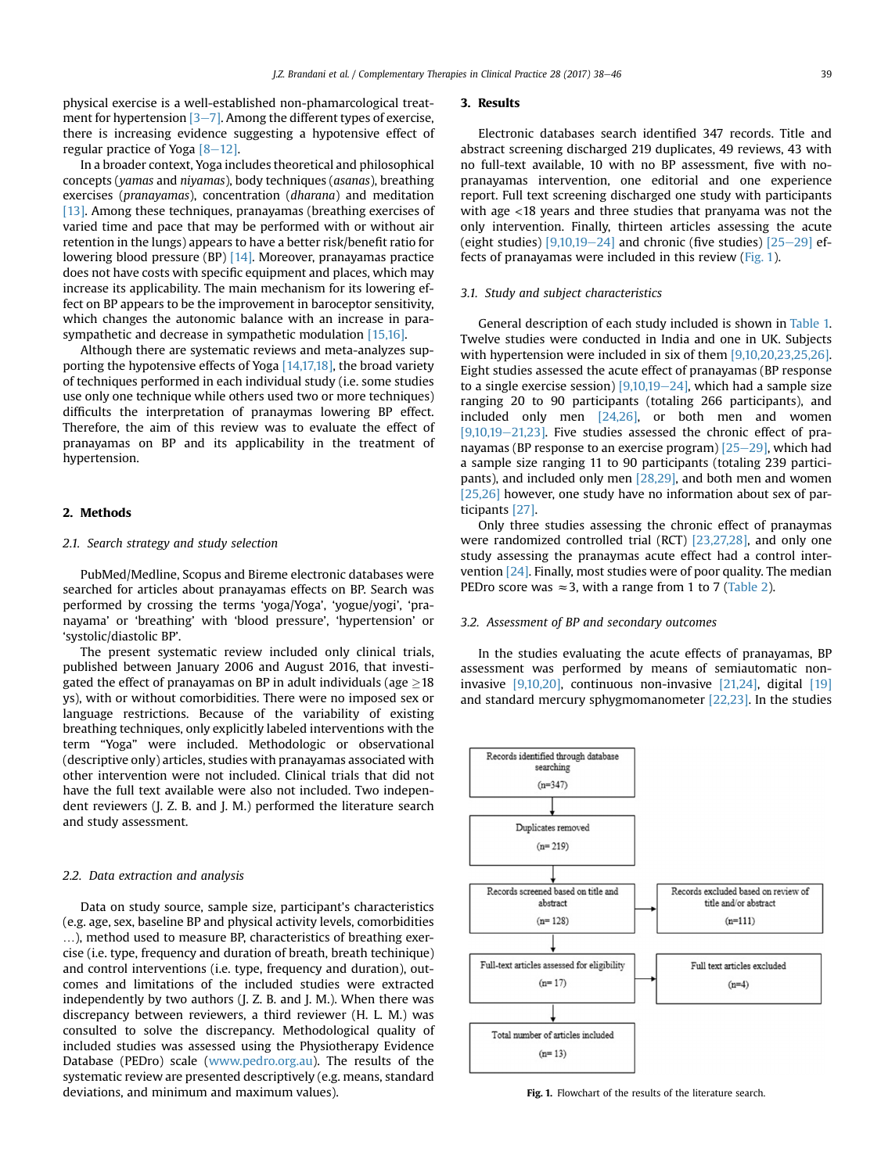physical exercise is a well-established non-phamarcological treatment for hypertension  $[3-7]$  $[3-7]$  $[3-7]$ . Among the different types of exercise, there is increasing evidence suggesting a hypotensive effect of regular practice of Yoga  $[8-12]$  $[8-12]$ .

In a broader context, Yoga includes theoretical and philosophical concepts (yamas and niyamas), body techniques (asanas), breathing exercises (pranayamas), concentration (dharana) and meditation [\[13\]](#page-7-0). Among these techniques, pranayamas (breathing exercises of varied time and pace that may be performed with or without air retention in the lungs) appears to have a better risk/benefit ratio for lowering blood pressure (BP) [\[14\]](#page-7-0). Moreover, pranayamas practice does not have costs with specific equipment and places, which may increase its applicability. The main mechanism for its lowering effect on BP appears to be the improvement in baroceptor sensitivity, which changes the autonomic balance with an increase in parasympathetic and decrease in sympathetic modulation [\[15,16\].](#page-7-0)

Although there are systematic reviews and meta-analyzes supporting the hypotensive effects of Yoga  $[14,17,18]$ , the broad variety of techniques performed in each individual study (i.e. some studies use only one technique while others used two or more techniques) difficults the interpretation of pranaymas lowering BP effect. Therefore, the aim of this review was to evaluate the effect of pranayamas on BP and its applicability in the treatment of hypertension.

### 2. Methods

#### 2.1. Search strategy and study selection

PubMed/Medline, Scopus and Bireme electronic databases were searched for articles about pranayamas effects on BP. Search was performed by crossing the terms 'yoga/Yoga', 'yogue/yogi', 'pranayama' or 'breathing' with 'blood pressure', 'hypertension' or 'systolic/diastolic BP'.

The present systematic review included only clinical trials, published between January 2006 and August 2016, that investigated the effect of pranayamas on BP in adult individuals (age  $\geq$ 18 ys), with or without comorbidities. There were no imposed sex or language restrictions. Because of the variability of existing breathing techniques, only explicitly labeled interventions with the term "Yoga" were included. Methodologic or observational (descriptive only) articles, studies with pranayamas associated with other intervention were not included. Clinical trials that did not have the full text available were also not included. Two independent reviewers (J. Z. B. and J. M.) performed the literature search and study assessment.

### 2.2. Data extraction and analysis

Data on study source, sample size, participant's characteristics (e.g. age, sex, baseline BP and physical activity levels, comorbidities …), method used to measure BP, characteristics of breathing exercise (i.e. type, frequency and duration of breath, breath techinique) and control interventions (i.e. type, frequency and duration), outcomes and limitations of the included studies were extracted independently by two authors (J. Z. B. and J. M.). When there was discrepancy between reviewers, a third reviewer (H. L. M.) was consulted to solve the discrepancy. Methodological quality of included studies was assessed using the Physiotherapy Evidence Database (PEDro) scale [\(www.pedro.org.au](http://www.pedro.org.au)). The results of the systematic review are presented descriptively (e.g. means, standard deviations, and minimum and maximum values).

#### 3. Results

Electronic databases search identified 347 records. Title and abstract screening discharged 219 duplicates, 49 reviews, 43 with no full-text available, 10 with no BP assessment, five with nopranayamas intervention, one editorial and one experience report. Full text screening discharged one study with participants with age <18 years and three studies that pranyama was not the only intervention. Finally, thirteen articles assessing the acute (eight studies)  $[9,10,19-24]$  $[9,10,19-24]$  $[9,10,19-24]$  and chronic (five studies)  $[25-29]$  $[25-29]$  $[25-29]$  effects of pranayamas were included in this review (Fig. 1).

#### 3.1. Study and subject characteristics

General description of each study included is shown in [Table 1.](#page-2-0) Twelve studies were conducted in India and one in UK. Subjects with hypertension were included in six of them [\[9,10,20,23,25,26\].](#page-7-0) Eight studies assessed the acute effect of pranayamas (BP response to a single exercise session)  $[9,10,19-24]$  $[9,10,19-24]$  $[9,10,19-24]$ , which had a sample size ranging 20 to 90 participants (totaling 266 participants), and included only men [\[24,26\]](#page-7-0), or both men and women  $[9,10,19-21,23]$  $[9,10,19-21,23]$ . Five studies assessed the chronic effect of pranayamas (BP response to an exercise program)  $[25-29]$  $[25-29]$  $[25-29]$ , which had a sample size ranging 11 to 90 participants (totaling 239 participants), and included only men [\[28,29\],](#page-8-0) and both men and women [\[25,26\]](#page-7-0) however, one study have no information about sex of participants [\[27\].](#page-8-0)

Only three studies assessing the chronic effect of pranaymas were randomized controlled trial (RCT) [\[23,27,28\]](#page-7-0), and only one study assessing the pranaymas acute effect had a control intervention [\[24\].](#page-7-0) Finally, most studies were of poor quality. The median PEDro score was  $\approx$  3, with a range from 1 to 7 [\(Table 2\)](#page-3-0).

# 3.2. Assessment of BP and secondary outcomes

In the studies evaluating the acute effects of pranayamas, BP assessment was performed by means of semiautomatic noninvasive [\[9,10,20\]](#page-7-0), continuous non-invasive [\[21,24\]](#page-7-0), digital [\[19\]](#page-7-0) and standard mercury sphygmomanometer [\[22,23\]](#page-7-0). In the studies



Fig. 1. Flowchart of the results of the literature search.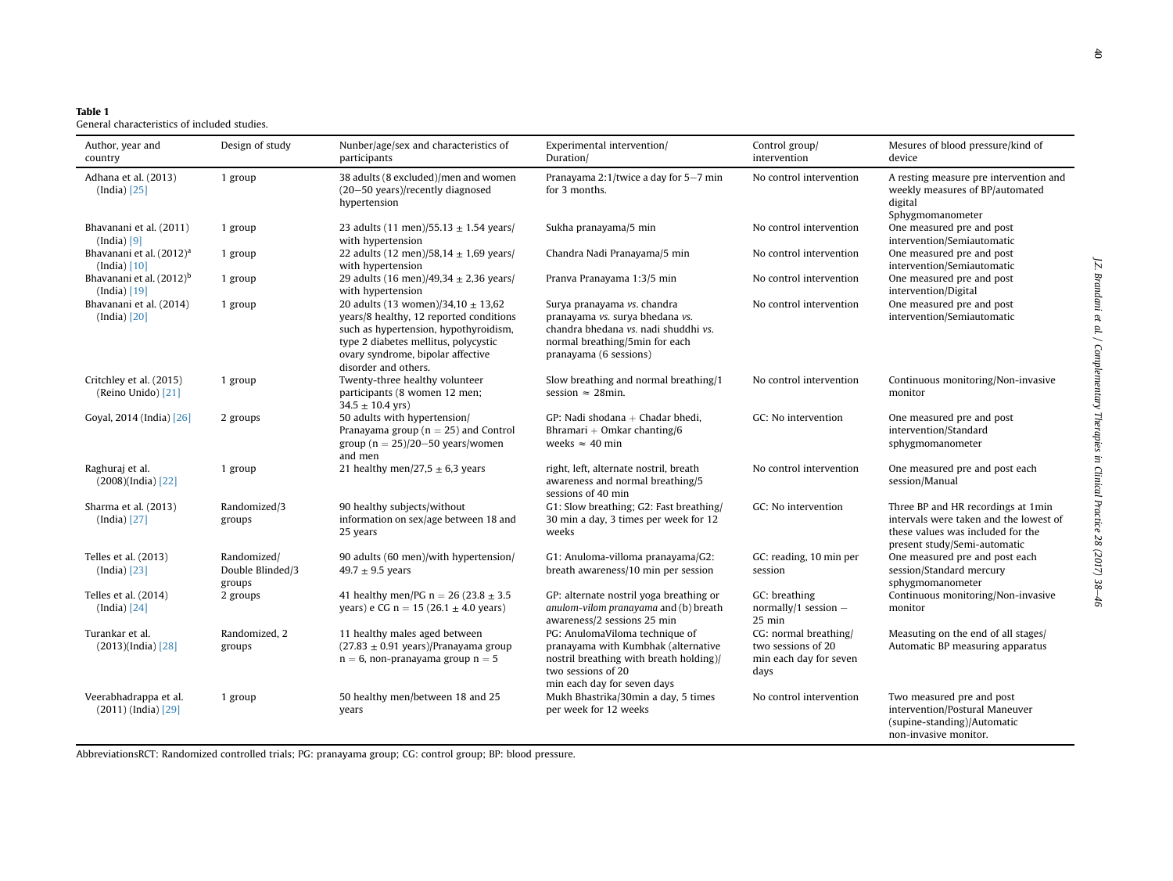# <span id="page-2-0"></span>Table 1

General characteristics of included studies.

| Author, year and<br>country                          | Design of study                           | Nunber/age/sex and characteristics of<br>participants                                                                                                                                                                           | Experimental intervention/<br>Duration/                                                                                                                               | Control group/<br>intervention                                                | Mesures of blood pressure/kind of<br>device                                                                                                       |
|------------------------------------------------------|-------------------------------------------|---------------------------------------------------------------------------------------------------------------------------------------------------------------------------------------------------------------------------------|-----------------------------------------------------------------------------------------------------------------------------------------------------------------------|-------------------------------------------------------------------------------|---------------------------------------------------------------------------------------------------------------------------------------------------|
| Adhana et al. (2013)<br>[India] [25]                 | 1 group                                   | 38 adults (8 excluded)/men and women<br>(20-50 years)/recently diagnosed<br>hypertension                                                                                                                                        | Pranayama 2:1/twice a day for 5-7 min<br>for 3 months.                                                                                                                | No control intervention                                                       | A resting measure pre intervention and<br>weekly measures of BP/automated<br>digital<br>Sphygmomanometer                                          |
| Bhavanani et al. (2011)<br>$(India)$ [9]             | 1 group                                   | 23 adults (11 men)/55.13 $\pm$ 1.54 years/<br>with hypertension                                                                                                                                                                 | Sukha pranayama/5 min                                                                                                                                                 | No control intervention                                                       | One measured pre and post<br>intervention/Semiautomatic                                                                                           |
| Bhavanani et al. (2012) <sup>a</sup><br>(India) [10] | 1 group                                   | 22 adults (12 men)/58,14 $\pm$ 1,69 years/<br>with hypertension                                                                                                                                                                 | Chandra Nadi Pranayama/5 min                                                                                                                                          | No control intervention                                                       | One measured pre and post<br>intervention/Semiautomatic                                                                                           |
| Bhavanani et al. (2012) <sup>b</sup><br>[India] [19] | 1 group                                   | 29 adults (16 men)/49,34 $\pm$ 2,36 years/<br>with hypertension                                                                                                                                                                 | Pranva Pranayama 1:3/5 min                                                                                                                                            | No control intervention                                                       | One measured pre and post<br>intervention/Digital                                                                                                 |
| Bhavanani et al. (2014)<br>[India] [20]              | 1 group                                   | 20 adults (13 women)/34,10 $\pm$ 13,62<br>years/8 healthy, 12 reported conditions<br>such as hypertension, hypothyroidism,<br>type 2 diabetes mellitus, polycystic<br>ovary syndrome, bipolar affective<br>disorder and others. | Surya pranayama vs. chandra<br>pranayama vs. surya bhedana vs.<br>chandra bhedana vs. nadi shuddhi vs.<br>normal breathing/5min for each<br>pranayama (6 sessions)    | No control intervention                                                       | One measured pre and post<br>intervention/Semiautomatic                                                                                           |
| Critchley et al. (2015)<br>(Reino Unido) [21]        | 1 group                                   | Twenty-three healthy volunteer<br>participants (8 women 12 men;<br>$34.5 \pm 10.4$ yrs)                                                                                                                                         | Slow breathing and normal breathing/1<br>session $\approx$ 28min.                                                                                                     | No control intervention                                                       | Continuous monitoring/Non-invasive<br>monitor                                                                                                     |
| Goyal, 2014 (India) [26]                             | 2 groups                                  | 50 adults with hypertension/<br>Pranayama group ( $n = 25$ ) and Control<br>group ( $n = 25$ )/20-50 years/women<br>and men                                                                                                     | $GP:$ Nadi shodana $+$ Chadar bhedi,<br>Bhramari $+$ Omkar chanting/6<br>weeks $\approx$ 40 min                                                                       | GC: No intervention                                                           | One measured pre and post<br>intervention/Standard<br>sphygmomanometer                                                                            |
| Raghuraj et al.<br>$(2008)(India)$ [22]              | 1 group                                   | 21 healthy men/27,5 $\pm$ 6,3 years                                                                                                                                                                                             | right, left, alternate nostril, breath<br>awareness and normal breathing/5<br>sessions of 40 min                                                                      | No control intervention                                                       | One measured pre and post each<br>session/Manual                                                                                                  |
| Sharma et al. (2013)<br>(India) [27]                 | Randomized/3<br>groups                    | 90 healthy subjects/without<br>information on sex/age between 18 and<br>25 years                                                                                                                                                | G1: Slow breathing; G2: Fast breathing/<br>30 min a day, 3 times per week for 12<br>weeks                                                                             | GC: No intervention                                                           | Three BP and HR recordings at 1min<br>intervals were taken and the lowest of<br>these values was included for the<br>present study/Semi-automatic |
| Telles et al. (2013)<br>[India] [23]                 | Randomized/<br>Double Blinded/3<br>groups | 90 adults (60 men)/with hypertension/<br>49.7 $\pm$ 9.5 years                                                                                                                                                                   | G1: Anuloma-villoma pranayama/G2:<br>breath awareness/10 min per session                                                                                              | GC: reading, 10 min per<br>session                                            | One measured pre and post each<br>session/Standard mercury<br>sphygmomanometer                                                                    |
| Telles et al. (2014)<br>[India] [24]                 | 2 groups                                  | 41 healthy men/PG n = 26 (23.8 $\pm$ 3.5<br>years) e CG $n = 15 (26.1 \pm 4.0 \text{ years})$                                                                                                                                   | GP: alternate nostril yoga breathing or<br>anulom-vilom pranayama and (b) breath<br>awareness/2 sessions 25 min                                                       | GC: breathing<br>normally/1 session $-$<br>$25 \text{ min}$                   | Continuous monitoring/Non-invasive<br>monitor                                                                                                     |
| Turankar et al.<br>$(2013)(India)$ [28]              | Randomized, 2<br>groups                   | 11 healthy males aged between<br>$(27.83 \pm 0.91 \text{ years})$ /Pranayama group<br>$n = 6$ , non-pranayama group $n = 5$                                                                                                     | PG: AnulomaViloma technique of<br>pranayama with Kumbhak (alternative<br>nostril breathing with breath holding)/<br>two sessions of 20<br>min each day for seven days | CG: normal breathing/<br>two sessions of 20<br>min each day for seven<br>days | Measuting on the end of all stages/<br>Automatic BP measuring apparatus                                                                           |
| Veerabhadrappa et al.<br>$(2011)$ (India) $[29]$     | 1 group                                   | 50 healthy men/between 18 and 25<br>years                                                                                                                                                                                       | Mukh Bhastrika/30min a day, 5 times<br>per week for 12 weeks                                                                                                          | No control intervention                                                       | Two measured pre and post<br>intervention/Postural Maneuver<br>(supine-standing)/Automatic<br>non-invasive monitor.                               |

AbbreviationsRCT: Randomized controlled trials; PG: pranayama group; CG: control group; BP: blood pressure.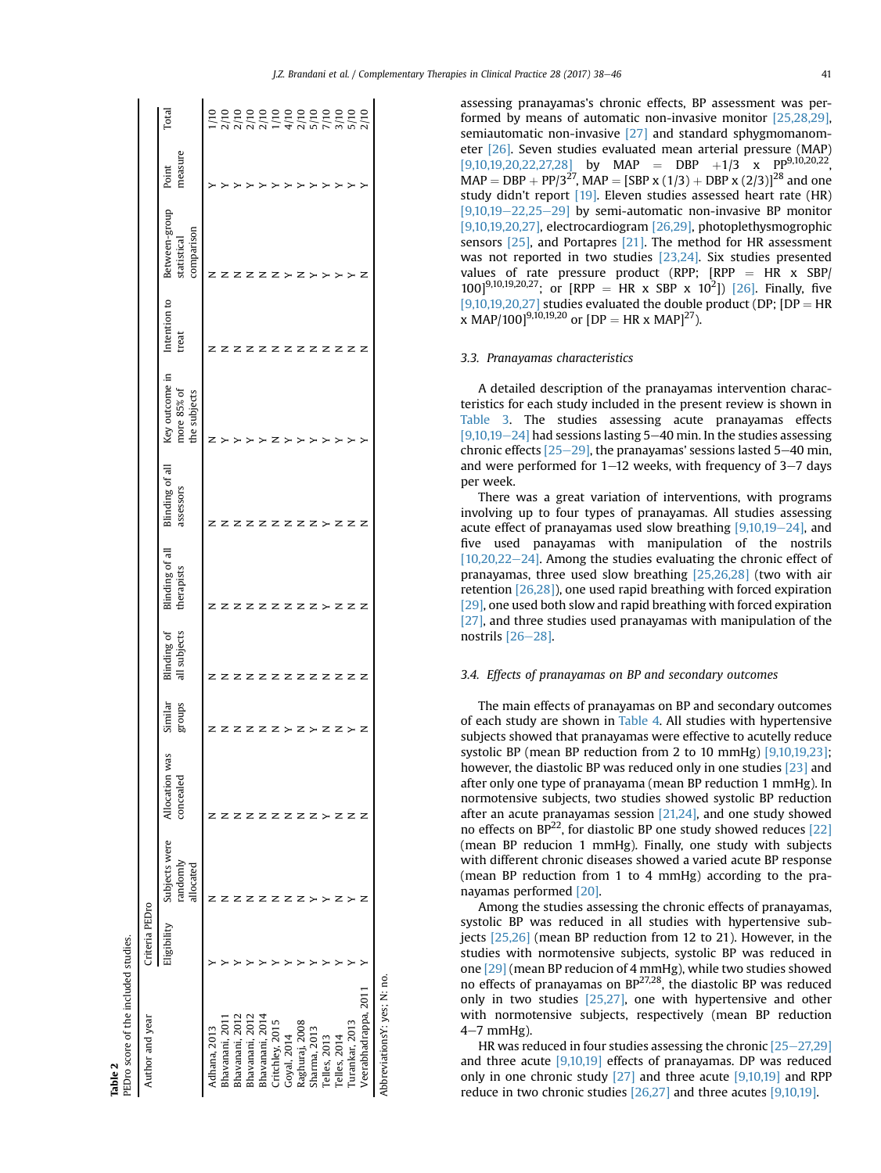<span id="page-3-0"></span>

| Author and year             | Criteria PEDro |                                        |                             |                    |                             |                                     |                              |                                               |                       |                                            |                  |                                |
|-----------------------------|----------------|----------------------------------------|-----------------------------|--------------------|-----------------------------|-------------------------------------|------------------------------|-----------------------------------------------|-----------------------|--------------------------------------------|------------------|--------------------------------|
|                             | Eligibility    | Subjects were<br>randomly<br>allocated | Allocation was<br>concealec | stonbs<br>Similar  | all subjects<br>Blinding of | <b>Blinding of all</b><br>herapists | Blinding of all<br>assessors | Key outcome in<br>more 85% of<br>the subjects | Intention to<br>treat | Between-group<br>comparison<br>statistical | measure<br>Point | Tota                           |
| Adhana, 2013                |                |                                        |                             | z                  |                             |                                     | z                            | z                                             | z                     | z                                          |                  |                                |
| Bhavanani, 201              |                |                                        |                             | z                  | zz                          | zz                                  | z                            |                                               |                       | z                                          |                  | 00000000000000<br>222222222222 |
| Bhavanani, 2012             |                |                                        |                             | $\mathsf{z}$       | $\mathsf{z}$                | $\mathbf{z}$                        |                              |                                               |                       |                                            |                  |                                |
| Bhavanani, 2012             |                |                                        |                             | $\mathsf{z}$       | $\mathsf{z}$                | $\mathbb{Z}$                        | Z                            |                                               |                       |                                            |                  |                                |
| Bhavanani, 2014             |                |                                        |                             | $\mathsf{z}$       | $\mathsf{z}$                | $\mathbb{Z}$                        | z                            |                                               | z                     |                                            |                  |                                |
| Critchley, 2015             |                |                                        |                             | z                  | zz                          | z                                   | z                            |                                               | z                     |                                            |                  |                                |
| Goyal, 2014                 |                |                                        |                             | $\rightarrow$      |                             | $\mathbb{Z}$                        | z                            |                                               | z                     |                                            |                  |                                |
| Raghuraj, 2008              |                |                                        |                             | $\mathsf{z}$       | ZZ                          | $\mathbb{Z}$                        | z                            |                                               | z                     |                                            |                  |                                |
| Sharma, 2013                |                |                                        |                             | $\rightarrow$      |                             | z                                   | z                            |                                               |                       |                                            |                  |                                |
| Telles, 2013                |                |                                        |                             | z                  | zz                          | $\blacktriangleright$               | 5                            |                                               | z                     | 5                                          |                  |                                |
| Telles, 2014                |                |                                        |                             | Z                  |                             | $\mathbb{Z}$                        | z                            |                                               | z                     | ۵                                          |                  |                                |
| Turankar, 2013              |                |                                        |                             | $\triangleright$ z | zz                          | zz                                  | z                            | >                                             | z                     | >                                          |                  |                                |
| Veerabhadrappa, 2017        |                |                                        |                             |                    |                             |                                     | z                            | >                                             | z                     | z                                          | 5                |                                |
| AbbreviationsY: yes; N: no. |                |                                        |                             |                    |                             |                                     |                              |                                               |                       |                                            |                  |                                |

Table 2<br>PEDro score of the included studies. PEDro score of the included studies.

assessing pranayamas's chronic effects, BP assessment was performed by means of automatic non-invasive monitor [\[25,28,29\],](#page-7-0) semiautomatic non-invasive [\[27\]](#page-8-0) and standard sphygmomanometer [\[26\]](#page-7-0). Seven studies evaluated mean arterial pressure (MAP) [\[9,10,19,20,22,27,28\]](#page-7-0) by MAP = DBP +1/3 x PP<sup>9,10,20,22</sup> MAP = DBP + PP/3<sup>27</sup>, MAP = [SBP x (1/3) + DBP x (2/3)]<sup>28</sup> and one study didn't report [\[19\].](#page-7-0) Eleven studies assessed heart rate (HR)  $[9,10,19-22,25-29]$  $[9,10,19-22,25-29]$  $[9,10,19-22,25-29]$  $[9,10,19-22,25-29]$  $[9,10,19-22,25-29]$  by semi-automatic non-invasive BP monitor [\[9,10,19,20,27\]](#page-7-0), electrocardiogram [\[26,29\],](#page-7-0) photoplethysmogrophic sensors [\[25\]](#page-7-0), and Portapres [\[21\].](#page-7-0) The method for HR assessment was not reported in two studies [\[23,24\]](#page-7-0). Six studies presented values of rate pressure product (RPP;  $[RPP = HR \times SBP/$  $[100]^{9,10,19,20,27}$ ; or  $[RPP = HR \times SBP \times 10^2]$  [\[26\].](#page-7-0) Finally, five [\[9,10,19,20,27\]](#page-7-0) studies evaluated the double product (DP;  $[DP = HR$ ) x MAP/100]<sup>9,10,19,20</sup> or [DP = HR x MAP]<sup>27</sup>).

#### 3.3. Pranayamas characteristics

A detailed description of the pranayamas intervention characteristics for each study included in the present review is shown in [Table 3](#page-4-0). The studies assessing acute pranayamas effects  $[9,10,19-24]$  $[9,10,19-24]$  $[9,10,19-24]$  had sessions lasting 5-40 min. In the studies assessing chronic effects  $[25-29]$  $[25-29]$ , the pranayamas' sessions lasted 5-40 min, and were performed for  $1-12$  weeks, with frequency of  $3-7$  days per week.

There was a great variation of interventions, with programs involving up to four types of pranayamas. All studies assessing acute effect of pranayamas used slow breathing  $[9,10,19-24]$  $[9,10,19-24]$ , and five used panayamas with manipulation of the nostrils  $[10,20,22-24]$  $[10,20,22-24]$ . Among the studies evaluating the chronic effect of pranayamas, three used slow breathing [\[25,26,28\]](#page-7-0) (two with air retention [\[26,28\]](#page-7-0)), one used rapid breathing with forced expiration [\[29\],](#page-8-0) one used both slow and rapid breathing with forced expiration [\[27\],](#page-8-0) and three studies used pranayamas with manipulation of the nostrils  $[26-28]$  $[26-28]$  $[26-28]$ .

### 3.4. Effects of pranayamas on BP and secondary outcomes

The main effects of pranayamas on BP and secondary outcomes of each study are shown in [Table 4.](#page-5-0) All studies with hypertensive subjects showed that pranayamas were effective to acutelly reduce systolic BP (mean BP reduction from 2 to 10 mmHg) [\[9,10,19,23\];](#page-7-0) however, the diastolic BP was reduced only in one studies [\[23\]](#page-7-0) and after only one type of pranayama (mean BP reduction 1 mmHg). In normotensive subjects, two studies showed systolic BP reduction after an acute pranayamas session [\[21,24\]](#page-7-0), and one study showed no effects on  $BP^{22}$ , for diastolic BP one study showed reduces [\[22\]](#page-7-0) (mean BP reducion 1 mmHg). Finally, one study with subjects with different chronic diseases showed a varied acute BP response (mean BP reduction from 1 to 4 mmHg) according to the pranayamas performed [\[20\]](#page-7-0).

Among the studies assessing the chronic effects of pranayamas, systolic BP was reduced in all studies with hypertensive subjects [\[25,26\]](#page-7-0) (mean BP reduction from 12 to 21). However, in the studies with normotensive subjects, systolic BP was reduced in one [\[29\]](#page-8-0) (mean BP reducion of 4 mmHg), while two studies showed no effects of pranayamas on BP27,28, the diastolic BP was reduced only in two studies [\[25,27\]](#page-7-0), one with hypertensive and other with normotensive subjects, respectively (mean BP reduction  $4-7$  mmHg).

HR was reduced in four studies assessing the chronic  $[25-27,29]$  $[25-27,29]$  $[25-27,29]$ and three acute [\[9,10,19\]](#page-7-0) effects of pranayamas. DP was reduced only in one chronic study [\[27\]](#page-8-0) and three acute [\[9,10,19\]](#page-7-0) and RPP reduce in two chronic studies [\[26,27\]](#page-7-0) and three acutes [\[9,10,19\]](#page-7-0).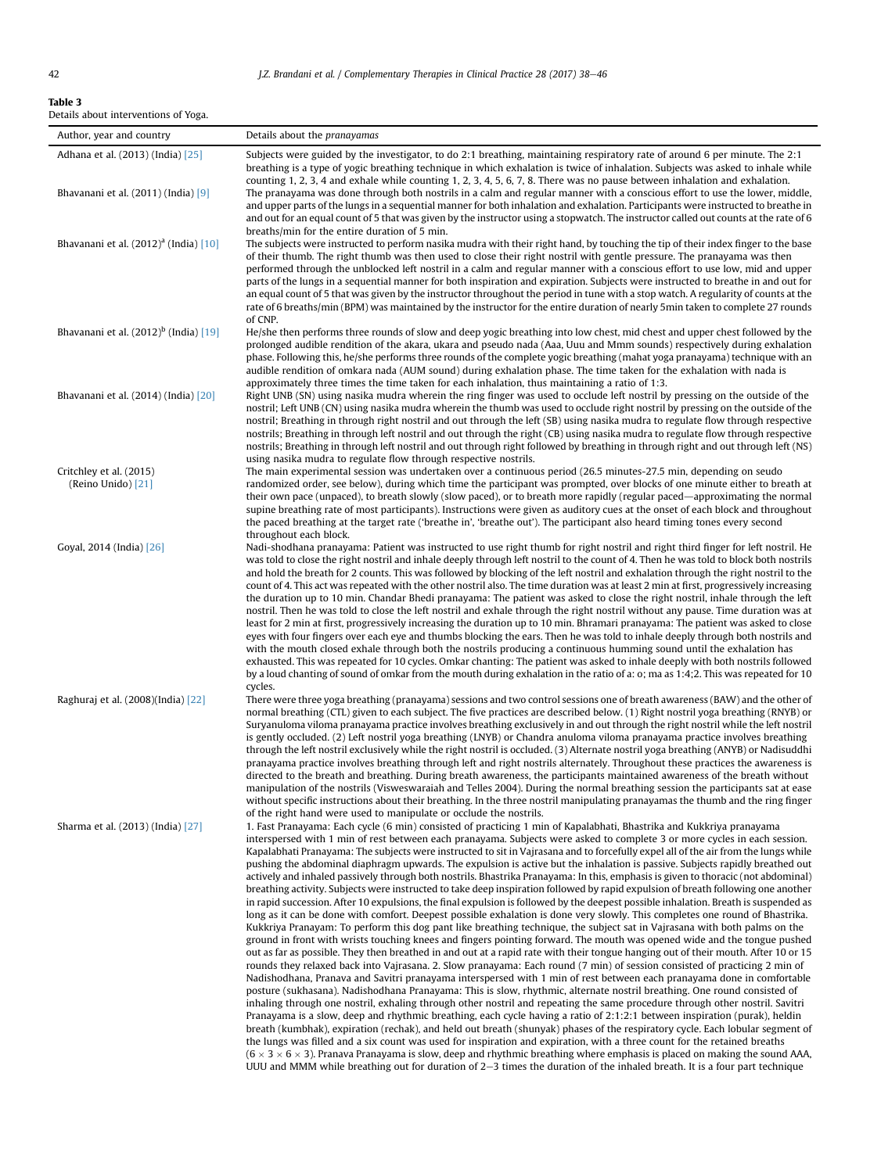<span id="page-4-0"></span>

| Author, year and country                   | Details about the <i>pranayamas</i>                                                                                                                                                                                                                                  |
|--------------------------------------------|----------------------------------------------------------------------------------------------------------------------------------------------------------------------------------------------------------------------------------------------------------------------|
| Adhana et al. (2013) (India) [25]          | Subjects were guided by the investigator, to do 2:1 breathing, maintaining respiratory rate of around 6 per minute. The 2:1                                                                                                                                          |
|                                            | breathing is a type of yogic breathing technique in which exhalation is twice of inhalation. Subjects was asked to inhale while                                                                                                                                      |
|                                            | counting 1, 2, 3, 4 and exhale while counting 1, 2, 3, 4, 5, 6, 7, 8. There was no pause between inhalation and exhalation.                                                                                                                                          |
| Bhavanani et al. (2011) (India) [9]        | The pranayama was done through both nostrils in a calm and regular manner with a conscious effort to use the lower, middle,                                                                                                                                          |
|                                            | and upper parts of the lungs in a sequential manner for both inhalation and exhalation. Participants were instructed to breathe in                                                                                                                                   |
|                                            | and out for an equal count of 5 that was given by the instructor using a stopwatch. The instructor called out counts at the rate of 6                                                                                                                                |
| Bhavanani et al. $(2012)^{a}$ (India) [10] | breaths/min for the entire duration of 5 min.                                                                                                                                                                                                                        |
|                                            | The subjects were instructed to perform nasika mudra with their right hand, by touching the tip of their index finger to the base<br>of their thumb. The right thumb was then used to close their right nostril with gentle pressure. The pranayama was then         |
|                                            | performed through the unblocked left nostril in a calm and regular manner with a conscious effort to use low, mid and upper                                                                                                                                          |
|                                            | parts of the lungs in a sequential manner for both inspiration and expiration. Subjects were instructed to breathe in and out for                                                                                                                                    |
|                                            | an equal count of 5 that was given by the instructor throughout the period in tune with a stop watch. A regularity of counts at the                                                                                                                                  |
|                                            | rate of 6 breaths/min (BPM) was maintained by the instructor for the entire duration of nearly 5min taken to complete 27 rounds                                                                                                                                      |
|                                            | of CNP.                                                                                                                                                                                                                                                              |
| Bhavanani et al. $(2012)^{b}$ (India) [19] | He/she then performs three rounds of slow and deep yogic breathing into low chest, mid chest and upper chest followed by the                                                                                                                                         |
|                                            | prolonged audible rendition of the akara, ukara and pseudo nada (Aaa, Uuu and Mmm sounds) respectively during exhalation                                                                                                                                             |
|                                            | phase. Following this, he/she performs three rounds of the complete yogic breathing (mahat yoga pranayama) technique with an                                                                                                                                         |
|                                            | audible rendition of omkara nada (AUM sound) during exhalation phase. The time taken for the exhalation with nada is<br>approximately three times the time taken for each inhalation, thus maintaining a ratio of $1:3$ .                                            |
| Bhavanani et al. (2014) (India) [20]       | Right UNB (SN) using nasika mudra wherein the ring finger was used to occlude left nostril by pressing on the outside of the                                                                                                                                         |
|                                            | nostril; Left UNB (CN) using nasika mudra wherein the thumb was used to occlude right nostril by pressing on the outside of the                                                                                                                                      |
|                                            | nostril; Breathing in through right nostril and out through the left (SB) using nasika mudra to regulate flow through respective                                                                                                                                     |
|                                            | nostrils; Breathing in through left nostril and out through the right (CB) using nasika mudra to regulate flow through respective                                                                                                                                    |
|                                            | nostrils; Breathing in through left nostril and out through right followed by breathing in through right and out through left (NS)                                                                                                                                   |
|                                            | using nasika mudra to regulate flow through respective nostrils.                                                                                                                                                                                                     |
| Critchley et al. (2015)                    | The main experimental session was undertaken over a continuous period (26.5 minutes-27.5 min, depending on seudo                                                                                                                                                     |
| (Reino Unido) [21]                         | randomized order, see below), during which time the participant was prompted, over blocks of one minute either to breath at<br>their own pace (unpaced), to breath slowly (slow paced), or to breath more rapidly (regular paced—approximating the normal            |
|                                            | supine breathing rate of most participants). Instructions were given as auditory cues at the onset of each block and throughout                                                                                                                                      |
|                                            | the paced breathing at the target rate ('breathe in', 'breathe out'). The participant also heard timing tones every second                                                                                                                                           |
|                                            | throughout each block.                                                                                                                                                                                                                                               |
| Goyal, 2014 (India) [26]                   | Nadi-shodhana pranayama: Patient was instructed to use right thumb for right nostril and right third finger for left nostril. He                                                                                                                                     |
|                                            | was told to close the right nostril and inhale deeply through left nostril to the count of 4. Then he was told to block both nostrils                                                                                                                                |
|                                            | and hold the breath for 2 counts. This was followed by blocking of the left nostril and exhalation through the right nostril to the                                                                                                                                  |
|                                            | count of 4. This act was repeated with the other nostril also. The time duration was at least 2 min at first, progressively increasing                                                                                                                               |
|                                            | the duration up to 10 min. Chandar Bhedi pranayama: The patient was asked to close the right nostril, inhale through the left                                                                                                                                        |
|                                            | nostril. Then he was told to close the left nostril and exhale through the right nostril without any pause. Time duration was at<br>least for 2 min at first, progressively increasing the duration up to 10 min. Bhramari pranayama: The patient was asked to close |
|                                            | eyes with four fingers over each eye and thumbs blocking the ears. Then he was told to inhale deeply through both nostrils and                                                                                                                                       |
|                                            | with the mouth closed exhale through both the nostrils producing a continuous humming sound until the exhalation has                                                                                                                                                 |
|                                            | exhausted. This was repeated for 10 cycles. Omkar chanting: The patient was asked to inhale deeply with both nostrils followed                                                                                                                                       |
|                                            | by a loud chanting of sound of omkar from the mouth during exhalation in the ratio of a: o; ma as 1:4;2. This was repeated for 10                                                                                                                                    |
|                                            | cycles.                                                                                                                                                                                                                                                              |
| Raghuraj et al. (2008)(India) [22]         | There were three yoga breathing (pranayama) sessions and two control sessions one of breath awareness (BAW) and the other of                                                                                                                                         |
|                                            | normal breathing (CTL) given to each subject. The five practices are described below. (1) Right nostril yoga breathing (RNYB) or                                                                                                                                     |
|                                            | Suryanuloma viloma pranayama practice involves breathing exclusively in and out through the right nostril while the left nostril<br>is gently occluded. (2) Left nostril yoga breathing (LNYB) or Chandra anuloma viloma pranayama practice involves breathing       |
|                                            | through the left nostril exclusively while the right nostril is occluded. (3) Alternate nostril yoga breathing (ANYB) or Nadisuddhi                                                                                                                                  |
|                                            | pranayama practice involves breathing through left and right nostrils alternately. Throughout these practices the awareness is                                                                                                                                       |
|                                            | directed to the breath and breathing. During breath awareness, the participants maintained awareness of the breath without                                                                                                                                           |
|                                            | manipulation of the nostrils (Visweswaraiah and Telles 2004). During the normal breathing session the participants sat at ease                                                                                                                                       |
|                                            | without specific instructions about their breathing. In the three nostril manipulating pranayamas the thumb and the ring finger                                                                                                                                      |
|                                            | of the right hand were used to manipulate or occlude the nostrils.                                                                                                                                                                                                   |
| Sharma et al. (2013) (India) [27]          | 1. Fast Pranayama: Each cycle (6 min) consisted of practicing 1 min of Kapalabhati, Bhastrika and Kukkriya pranayama                                                                                                                                                 |
|                                            | interspersed with 1 min of rest between each pranayama. Subjects were asked to complete 3 or more cycles in each session.                                                                                                                                            |
|                                            | Kapalabhati Pranayama: The subjects were instructed to sit in Vajrasana and to forcefully expel all of the air from the lungs while<br>pushing the abdominal diaphragm upwards. The expulsion is active but the inhalation is passive. Subjects rapidly breathed out |
|                                            | actively and inhaled passively through both nostrils. Bhastrika Pranayama: In this, emphasis is given to thoracic (not abdominal)                                                                                                                                    |
|                                            | breathing activity. Subjects were instructed to take deep inspiration followed by rapid expulsion of breath following one another                                                                                                                                    |
|                                            | in rapid succession. After 10 expulsions, the final expulsion is followed by the deepest possible inhalation. Breath is suspended as                                                                                                                                 |
|                                            | long as it can be done with comfort. Deepest possible exhalation is done very slowly. This completes one round of Bhastrika.                                                                                                                                         |
|                                            | Kukkriya Pranayam: To perform this dog pant like breathing technique, the subject sat in Vajrasana with both palms on the                                                                                                                                            |
|                                            | ground in front with wrists touching knees and fingers pointing forward. The mouth was opened wide and the tongue pushed                                                                                                                                             |
|                                            | out as far as possible. They then breathed in and out at a rapid rate with their tongue hanging out of their mouth. After 10 or 15                                                                                                                                   |
|                                            | rounds they relaxed back into Vajrasana. 2. Slow pranayama: Each round (7 min) of session consisted of practicing 2 min of                                                                                                                                           |
|                                            | Nadishodhana, Pranava and Savitri pranayama interspersed with 1 min of rest between each pranayama done in comfortable                                                                                                                                               |
|                                            | posture (sukhasana). Nadishodhana Pranayama: This is slow, rhythmic, alternate nostril breathing. One round consisted of<br>inhaling through one nostril, exhaling through other nostril and repeating the same procedure through other nostril. Savitri             |
|                                            | Pranayama is a slow, deep and rhythmic breathing, each cycle having a ratio of 2:1:2:1 between inspiration (purak), heldin                                                                                                                                           |
|                                            | breath (kumbhak), expiration (rechak), and held out breath (shunyak) phases of the respiratory cycle. Each lobular segment of                                                                                                                                        |
|                                            | the lungs was filled and a six count was used for inspiration and expiration, with a three count for the retained breaths                                                                                                                                            |
|                                            | $(6 \times 3 \times 6 \times 3)$ . Pranava Pranayama is slow, deep and rhythmic breathing where emphasis is placed on making the sound AAA,                                                                                                                          |
|                                            | UUU and MMM while breathing out for duration of $2-3$ times the duration of the inhaled breath. It is a four part technique                                                                                                                                          |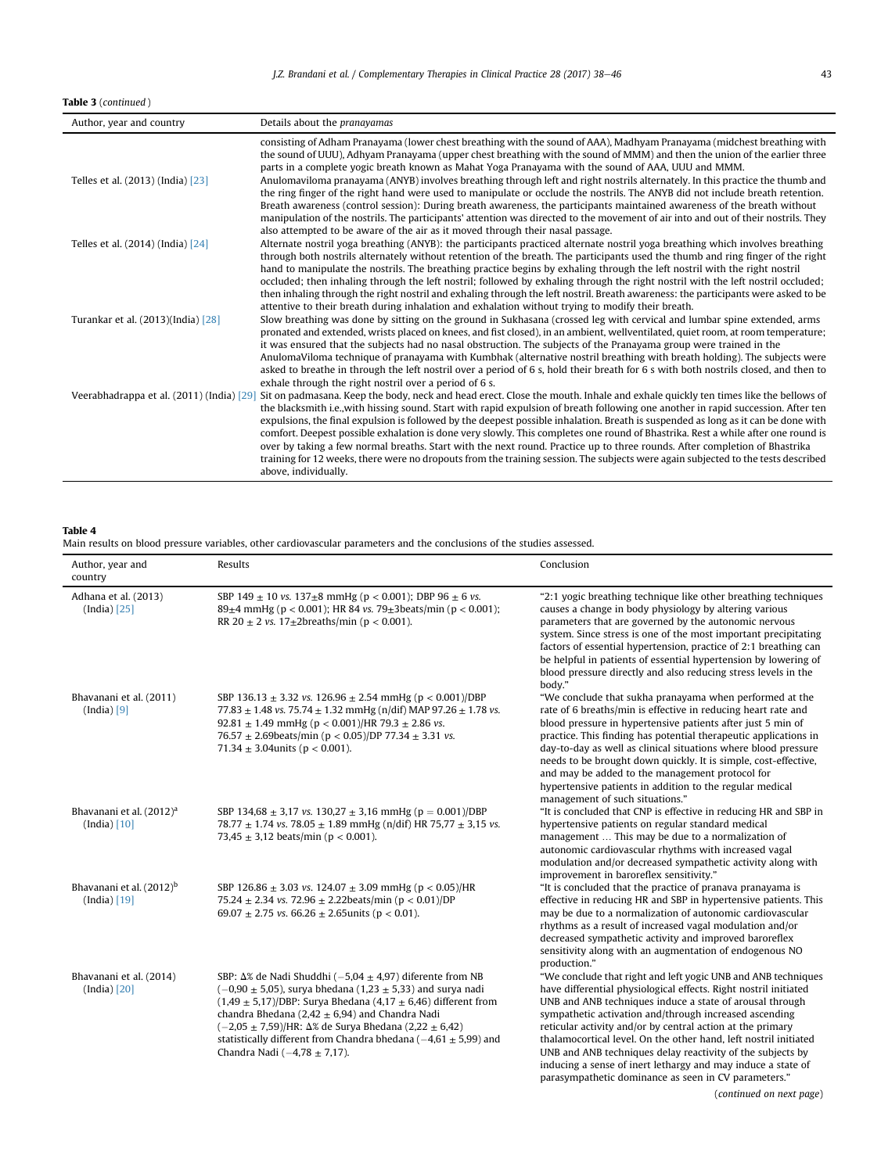# <span id="page-5-0"></span>Table 3 (continued )

| Author, year and country           | Details about the <i>pranayamas</i>                                                                                                                                                                                                                                                                                                                                                                                                                                                                                                                                                                                                                                                                                                                                                                                                                                                            |
|------------------------------------|------------------------------------------------------------------------------------------------------------------------------------------------------------------------------------------------------------------------------------------------------------------------------------------------------------------------------------------------------------------------------------------------------------------------------------------------------------------------------------------------------------------------------------------------------------------------------------------------------------------------------------------------------------------------------------------------------------------------------------------------------------------------------------------------------------------------------------------------------------------------------------------------|
| Telles et al. (2013) (India) [23]  | consisting of Adham Pranayama (lower chest breathing with the sound of AAA), Madhyam Pranayama (midchest breathing with<br>the sound of UUU), Adhyam Pranayama (upper chest breathing with the sound of MMM) and then the union of the earlier three<br>parts in a complete yogic breath known as Mahat Yoga Pranayama with the sound of AAA, UUU and MMM.<br>Anulomaviloma pranayama (ANYB) involves breathing through left and right nostrils alternately. In this practice the thumb and<br>the ring finger of the right hand were used to manipulate or occlude the nostrils. The ANYB did not include breath retention.<br>Breath awareness (control session): During breath awareness, the participants maintained awareness of the breath without<br>manipulation of the nostrils. The participants' attention was directed to the movement of air into and out of their nostrils. They |
| Telles et al. (2014) (India) [24]  | also attempted to be aware of the air as it moved through their nasal passage.<br>Alternate nostril yoga breathing (ANYB): the participants practiced alternate nostril yoga breathing which involves breathing<br>through both nostrils alternately without retention of the breath. The participants used the thumb and ring finger of the right<br>hand to manipulate the nostrils. The breathing practice begins by exhaling through the left nostril with the right nostril<br>occluded; then inhaling through the left nostril; followed by exhaling through the right nostril with the left nostril occluded;<br>then inhaling through the right nostril and exhaling through the left nostril. Breath awareness: the participants were asked to be                                                                                                                                     |
| Turankar et al. (2013)(India) [28] | attentive to their breath during inhalation and exhalation without trying to modify their breath.<br>Slow breathing was done by sitting on the ground in Sukhasana (crossed leg with cervical and lumbar spine extended, arms<br>pronated and extended, wrists placed on knees, and fist closed), in an ambient, wellventilated, quiet room, at room temperature;<br>it was ensured that the subjects had no nasal obstruction. The subjects of the Pranayama group were trained in the<br>AnulomaViloma technique of pranayama with Kumbhak (alternative nostril breathing with breath holding). The subjects were<br>asked to breathe in through the left nostril over a period of 6 s, hold their breath for 6 s with both nostrils closed, and then to<br>exhale through the right nostril over a period of 6 s.                                                                           |
|                                    | Veerabhadrappa et al. (2011) (India) [29] Sit on padmasana. Keep the body, neck and head erect. Close the mouth. Inhale and exhale quickly ten times like the bellows of<br>the blacksmith i.e., with hissing sound. Start with rapid expulsion of breath following one another in rapid succession. After ten<br>expulsions, the final expulsion is followed by the deepest possible inhalation. Breath is suspended as long as it can be done with<br>comfort. Deepest possible exhalation is done very slowly. This completes one round of Bhastrika. Rest a while after one round is<br>over by taking a few normal breaths. Start with the next round. Practice up to three rounds. After completion of Bhastrika<br>training for 12 weeks, there were no dropouts from the training session. The subjects were again subjected to the tests described<br>above, individually.            |

## Table 4

Main results on blood pressure variables, other cardiovascular parameters and the conclusions of the studies assessed.

| Author, year and<br>country                          | Results                                                                                                                                                                                                                                                                                                                                                                                                                                                               | Conclusion                                                                                                                                                                                                                                                                                                                                                                                                                                                                                                                                                                      |
|------------------------------------------------------|-----------------------------------------------------------------------------------------------------------------------------------------------------------------------------------------------------------------------------------------------------------------------------------------------------------------------------------------------------------------------------------------------------------------------------------------------------------------------|---------------------------------------------------------------------------------------------------------------------------------------------------------------------------------------------------------------------------------------------------------------------------------------------------------------------------------------------------------------------------------------------------------------------------------------------------------------------------------------------------------------------------------------------------------------------------------|
| Adhana et al. (2013)<br>(India) [25]                 | SBP 149 $\pm$ 10 vs. 137 $\pm$ 8 mmHg (p < 0.001); DBP 96 $\pm$ 6 vs.<br>$89\pm4$ mmHg (p < 0.001); HR 84 vs. 79 $\pm$ 3beats/min (p < 0.001);<br>RR 20 $\pm$ 2 vs. 17 $\pm$ 2breaths/min (p < 0.001).                                                                                                                                                                                                                                                                | "2:1 yogic breathing technique like other breathing techniques<br>causes a change in body physiology by altering various<br>parameters that are governed by the autonomic nervous<br>system. Since stress is one of the most important precipitating<br>factors of essential hypertension, practice of 2:1 breathing can<br>be helpful in patients of essential hypertension by lowering of<br>blood pressure directly and also reducing stress levels in the<br>body."                                                                                                         |
| Bhavanani et al. (2011)<br>$(India)$ [9]             | SBP 136.13 $\pm$ 3.32 vs. 126.96 $\pm$ 2.54 mmHg (p < 0.001)/DBP<br>77.83 $\pm$ 1.48 vs. 75.74 $\pm$ 1.32 mmHg (n/dif) MAP 97.26 $\pm$ 1.78 vs.<br>92.81 $\pm$ 1.49 mmHg (p < 0.001)/HR 79.3 $\pm$ 2.86 vs.<br>76.57 $\pm$ 2.69beats/min (p < 0.05)/DP 77.34 $\pm$ 3.31 vs.<br>71.34 $\pm$ 3.04 units (p < 0.001).                                                                                                                                                    | "We conclude that sukha pranayama when performed at the<br>rate of 6 breaths/min is effective in reducing heart rate and<br>blood pressure in hypertensive patients after just 5 min of<br>practice. This finding has potential therapeutic applications in<br>day-to-day as well as clinical situations where blood pressure<br>needs to be brought down quickly. It is simple, cost-effective,<br>and may be added to the management protocol for<br>hypertensive patients in addition to the regular medical<br>management of such situations."                              |
| Bhavanani et al. (2012) <sup>a</sup><br>(India) [10] | SBP 134,68 $\pm$ 3,17 vs. 130,27 $\pm$ 3,16 mmHg (p = 0.001)/DBP<br>78.77 $\pm$ 1.74 vs. 78.05 $\pm$ 1.89 mmHg (n/dif) HR 75,77 $\pm$ 3,15 vs.<br>73,45 $\pm$ 3,12 beats/min (p < 0.001).                                                                                                                                                                                                                                                                             | "It is concluded that CNP is effective in reducing HR and SBP in<br>hypertensive patients on regular standard medical<br>management  This may be due to a normalization of<br>autonomic cardiovascular rhythms with increased vagal<br>modulation and/or decreased sympathetic activity along with<br>improvement in baroreflex sensitivity."                                                                                                                                                                                                                                   |
| Bhavanani et al. (2012) <sup>b</sup><br>(India) [19] | SBP 126.86 $\pm$ 3.03 vs. 124.07 $\pm$ 3.09 mmHg (p < 0.05)/HR<br>75.24 $\pm$ 2.34 vs. 72.96 $\pm$ 2.22beats/min (p < 0.01)/DP<br>69.07 $\pm$ 2.75 vs. 66.26 $\pm$ 2.65 units (p < 0.01).                                                                                                                                                                                                                                                                             | "It is concluded that the practice of pranava pranayama is<br>effective in reducing HR and SBP in hypertensive patients. This<br>may be due to a normalization of autonomic cardiovascular<br>rhythms as a result of increased vagal modulation and/or<br>decreased sympathetic activity and improved baroreflex<br>sensitivity along with an augmentation of endogenous NO<br>production."                                                                                                                                                                                     |
| Bhavanani et al. (2014)<br>(India) [20]              | SBP: $\Delta\%$ de Nadi Shuddhi (-5,04 $\pm$ 4,97) diferente from NB<br>$(-0.90 \pm 5.05)$ , surya bhedana (1,23 $\pm$ 5,33) and surya nadi<br>$(1,49 \pm 5,17)/DBP$ : Surya Bhedana $(4,17 \pm 6,46)$ different from<br>chandra Bhedana ( $2,42 \pm 6,94$ ) and Chandra Nadi<br>$(-2,05 \pm 7,59)/HR$ : $\Delta\%$ de Surya Bhedana (2,22 $\pm$ 6,42)<br>statistically different from Chandra bhedana ( $-4,61 \pm 5,99$ ) and<br>Chandra Nadi ( $-4,78 \pm 7,17$ ). | "We conclude that right and left yogic UNB and ANB techniques<br>have differential physiological effects. Right nostril initiated<br>UNB and ANB techniques induce a state of arousal through<br>sympathetic activation and/through increased ascending<br>reticular activity and/or by central action at the primary<br>thalamocortical level. On the other hand, left nostril initiated<br>UNB and ANB techniques delay reactivity of the subjects by<br>inducing a sense of inert lethargy and may induce a state of<br>parasympathetic dominance as seen in CV parameters." |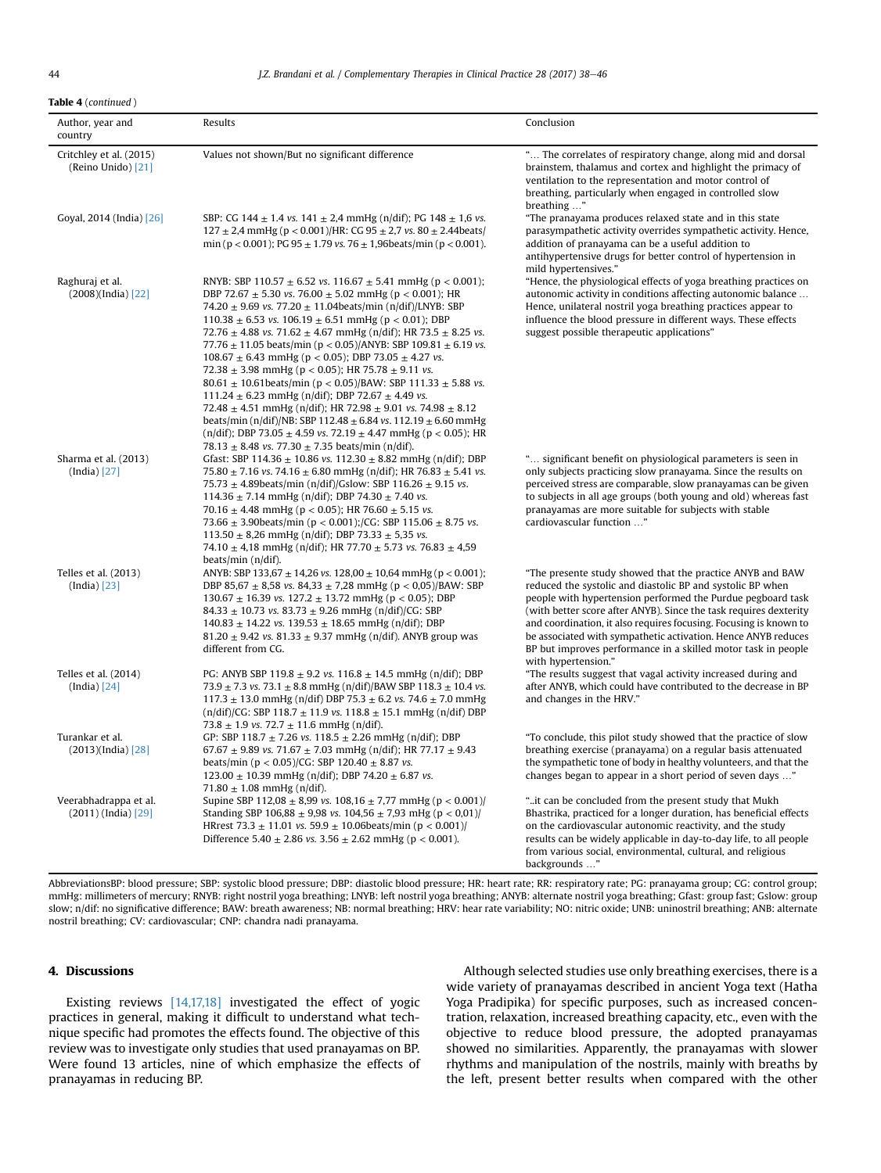#### Table  $\overline{A}$  (continued)

| Author, year and<br>country                      | Results                                                                                                                                                                                                                                                                                                                                                                                                                                                                                                                                                                                                                                                                                                                                                                                                                                                                                                                                                                               | Conclusion                                                                                                                                                                                                                                                                                                                                                                                                                                                                                |
|--------------------------------------------------|---------------------------------------------------------------------------------------------------------------------------------------------------------------------------------------------------------------------------------------------------------------------------------------------------------------------------------------------------------------------------------------------------------------------------------------------------------------------------------------------------------------------------------------------------------------------------------------------------------------------------------------------------------------------------------------------------------------------------------------------------------------------------------------------------------------------------------------------------------------------------------------------------------------------------------------------------------------------------------------|-------------------------------------------------------------------------------------------------------------------------------------------------------------------------------------------------------------------------------------------------------------------------------------------------------------------------------------------------------------------------------------------------------------------------------------------------------------------------------------------|
| Critchley et al. (2015)<br>(Reino Unido) [21]    | Values not shown/But no significant difference                                                                                                                                                                                                                                                                                                                                                                                                                                                                                                                                                                                                                                                                                                                                                                                                                                                                                                                                        | " The correlates of respiratory change, along mid and dorsal<br>brainstem, thalamus and cortex and highlight the primacy of<br>ventilation to the representation and motor control of<br>breathing, particularly when engaged in controlled slow<br>breathing "                                                                                                                                                                                                                           |
| Goyal, 2014 (India) [26]                         | SBP: CG 144 $\pm$ 1.4 vs. 141 $\pm$ 2.4 mmHg (n/dif); PG 148 $\pm$ 1.6 vs.<br>$127 \pm 2.4$ mmHg (p < 0.001)/HR: CG 95 $\pm$ 2.7 vs. 80 $\pm$ 2.44 beats/<br>min ( $p < 0.001$ ); PG 95 $\pm$ 1.79 vs. 76 $\pm$ 1,96beats/min ( $p < 0.001$ ).                                                                                                                                                                                                                                                                                                                                                                                                                                                                                                                                                                                                                                                                                                                                        | "The pranayama produces relaxed state and in this state<br>parasympathetic activity overrides sympathetic activity. Hence,<br>addition of pranayama can be a useful addition to<br>antihypertensive drugs for better control of hypertension in<br>mild hypertensives."                                                                                                                                                                                                                   |
| Raghuraj et al.<br>$(2008)(\text{India})$ [22]   | RNYB: SBP 110.57 $\pm$ 6.52 vs. 116.67 $\pm$ 5.41 mmHg (p < 0.001);<br>DBP 72.67 $\pm$ 5.30 vs. 76.00 $\pm$ 5.02 mmHg (p < 0.001); HR<br>74.20 $\pm$ 9.69 vs. 77.20 $\pm$ 11.04beats/min (n/dif)/LNYB: SBP<br>110.38 $\pm$ 6.53 vs. 106.19 $\pm$ 6.51 mmHg (p < 0.01); DBP<br>72.76 $\pm$ 4.88 vs. 71.62 $\pm$ 4.67 mmHg (n/dif); HR 73.5 $\pm$ 8.25 vs.<br>77.76 $\pm$ 11.05 beats/min (p < 0.05)/ANYB: SBP 109.81 $\pm$ 6.19 vs.<br>108.67 $\pm$ 6.43 mmHg (p < 0.05); DBP 73.05 $\pm$ 4.27 vs.<br>72.38 $\pm$ 3.98 mmHg (p < 0.05); HR 75.78 $\pm$ 9.11 vs.<br>80.61 ± 10.61beats/min (p < 0.05)/BAW: SBP 111.33 ± 5.88 vs.<br>111.24 $\pm$ 6.23 mmHg (n/dif); DBP 72.67 $\pm$ 4.49 vs.<br>72.48 $\pm$ 4.51 mmHg (n/dif); HR 72.98 $\pm$ 9.01 vs. 74.98 $\pm$ 8.12<br>beats/min (n/dif)/NB: SBP 112.48 $\pm$ 6.84 vs. 112.19 $\pm$ 6.60 mmHg<br>(n/dif); DBP 73.05 $\pm$ 4.59 vs. 72.19 $\pm$ 4.47 mmHg (p < 0.05); HR<br>78.13 $\pm$ 8.48 vs. 77.30 $\pm$ 7.35 beats/min (n/dif). | "Hence, the physiological effects of yoga breathing practices on<br>autonomic activity in conditions affecting autonomic balance<br>Hence, unilateral nostril yoga breathing practices appear to<br>influence the blood pressure in different ways. These effects<br>suggest possible therapeutic applications"                                                                                                                                                                           |
| Sharma et al. (2013)<br>(India) [27]             | Gfast: SBP 114.36 $\pm$ 10.86 vs. 112.30 $\pm$ 8.82 mmHg (n/dif); DBP<br>75.80 $\pm$ 7.16 vs. 74.16 $\pm$ 6.80 mmHg (n/dif); HR 76.83 $\pm$ 5.41 vs.<br>75.73 $\pm$ 4.89beats/min (n/dif)/Gslow: SBP 116.26 $\pm$ 9.15 vs.<br>114.36 $\pm$ 7.14 mmHg (n/dif); DBP 74.30 $\pm$ 7.40 vs.<br>70.16 $\pm$ 4.48 mmHg (p < 0.05); HR 76.60 $\pm$ 5.15 vs.<br>73.66 $\pm$ 3.90 beats/min (p < 0.001);/CG: SBP 115.06 $\pm$ 8.75 vs.<br>$113.50 \pm 8.26$ mmHg (n/dif); DBP 73.33 $\pm$ 5.35 vs.<br>74.10 $\pm$ 4.18 mmHg (n/dif); HR 77.70 $\pm$ 5.73 vs. 76.83 $\pm$ 4.59<br>beats/min $(n/dif)$ .                                                                                                                                                                                                                                                                                                                                                                                          | " significant benefit on physiological parameters is seen in<br>only subjects practicing slow pranayama. Since the results on<br>perceived stress are comparable, slow pranayamas can be given<br>to subjects in all age groups (both young and old) whereas fast<br>pranayamas are more suitable for subjects with stable<br>cardiovascular function "                                                                                                                                   |
| Telles et al. (2013)<br>(India) [23]             | ANYB: SBP 133,67 $\pm$ 14,26 vs. 128,00 $\pm$ 10,64 mmHg (p < 0.001);<br>DBP 85,67 $\pm$ 8,58 vs. 84,33 $\pm$ 7,28 mmHg (p < 0,05)/BAW: SBP<br>130.67 $\pm$ 16.39 vs. 127.2 $\pm$ 13.72 mmHg (p < 0.05); DBP<br>84.33 $\pm$ 10.73 vs. 83.73 $\pm$ 9.26 mmHg (n/dif)/CG: SBP<br>$140.83 \pm 14.22$ vs. $139.53 \pm 18.65$ mmHg (n/dif); DBP<br>81.20 $\pm$ 9.42 vs. 81.33 $\pm$ 9.37 mmHg (n/dif). ANYB group was<br>different from CG.                                                                                                                                                                                                                                                                                                                                                                                                                                                                                                                                                | "The presente study showed that the practice ANYB and BAW<br>reduced the systolic and diastolic BP and systolic BP when<br>people with hypertension performed the Purdue pegboard task<br>(with better score after ANYB). Since the task requires dexterity<br>and coordination, it also requires focusing. Focusing is known to<br>be associated with sympathetic activation. Hence ANYB reduces<br>BP but improves performance in a skilled motor task in people<br>with hypertension." |
| Telles et al. (2014)<br>(India) [24]             | PG: ANYB SBP 119.8 $\pm$ 9.2 vs. 116.8 $\pm$ 14.5 mmHg (n/dif); DBP<br>73.9 ± 7.3 vs. 73.1 ± 8.8 mmHg (n/dif)/BAW SBP 118.3 ± 10.4 vs.<br>117.3 $\pm$ 13.0 mmHg (n/dif) DBP 75.3 $\pm$ 6.2 vs. 74.6 $\pm$ 7.0 mmHg<br>$(n/dif)/CG$ : SBP 118.7 $\pm$ 11.9 vs. 118.8 $\pm$ 15.1 mmHg (n/dif) DBP<br>73.8 $\pm$ 1.9 vs. 72.7 $\pm$ 11.6 mmHg (n/dif).                                                                                                                                                                                                                                                                                                                                                                                                                                                                                                                                                                                                                                   | "The results suggest that vagal activity increased during and<br>after ANYB, which could have contributed to the decrease in BP<br>and changes in the HRV."                                                                                                                                                                                                                                                                                                                               |
| Turankar et al.<br>$(2013)(\text{India})$ [28]   | GP: SBP 118.7 $\pm$ 7.26 vs. 118.5 $\pm$ 2.26 mmHg (n/dif); DBP<br>67.67 $\pm$ 9.89 vs. 71.67 $\pm$ 7.03 mmHg (n/dif); HR 77.17 $\pm$ 9.43<br>beats/min ( $p < 0.05$ )/CG: SBP 120.40 $\pm$ 8.87 vs.<br>123.00 $\pm$ 10.39 mmHg (n/dif); DBP 74.20 $\pm$ 6.87 vs.<br>71.80 $\pm$ 1.08 mmHg (n/dif).                                                                                                                                                                                                                                                                                                                                                                                                                                                                                                                                                                                                                                                                                   | "To conclude, this pilot study showed that the practice of slow<br>breathing exercise (pranayama) on a regular basis attenuated<br>the sympathetic tone of body in healthy volunteers, and that the<br>changes began to appear in a short period of seven days "                                                                                                                                                                                                                          |
| Veerabhadrappa et al.<br>$(2011)$ (India) $[29]$ | Supine SBP 112,08 $\pm$ 8,99 vs. 108,16 $\pm$ 7,77 mmHg (p < 0.001)/<br>Standing SBP 106,88 $\pm$ 9,98 vs. 104,56 $\pm$ 7,93 mHg (p < 0,01)/<br>HRrest 73.3 $\pm$ 11.01 vs. 59.9 $\pm$ 10.06beats/min (p < 0.001)/<br>Difference 5.40 $\pm$ 2.86 vs. 3.56 $\pm$ 2.62 mmHg (p < 0.001).                                                                                                                                                                                                                                                                                                                                                                                                                                                                                                                                                                                                                                                                                                | "it can be concluded from the present study that Mukh<br>Bhastrika, practiced for a longer duration, has beneficial effects<br>on the cardiovascular autonomic reactivity, and the study<br>results can be widely applicable in day-to-day life, to all people<br>from various social, environmental, cultural, and religious<br>backgrounds "                                                                                                                                            |

AbbreviationsBP: blood pressure; SBP: systolic blood pressure; DBP: diastolic blood pressure; HR: heart rate; RR: respiratory rate; PG: pranayama group; CG: control group; mmHg: millimeters of mercury; RNYB: right nostril yoga breathing; LNYB: left nostril yoga breathing; ANYB: alternate nostril yoga breathing; Gfast: group fast; Gslow: group slow; n/dif: no significative difference; BAW: breath awareness; NB: normal breathing; HRV: hear rate variability; NO: nitric oxide; UNB: uninostril breathing; ANB: alternate nostril breathing; CV: cardiovascular; CNP: chandra nadi pranayama.

# 4. Discussions

Existing reviews [\[14,17,18\]](#page-7-0) investigated the effect of yogic practices in general, making it difficult to understand what technique specific had promotes the effects found. The objective of this review was to investigate only studies that used pranayamas on BP. Were found 13 articles, nine of which emphasize the effects of pranayamas in reducing BP.

Although selected studies use only breathing exercises, there is a wide variety of pranayamas described in ancient Yoga text (Hatha Yoga Pradipika) for specific purposes, such as increased concentration, relaxation, increased breathing capacity, etc., even with the objective to reduce blood pressure, the adopted pranayamas showed no similarities. Apparently, the pranayamas with slower rhythms and manipulation of the nostrils, mainly with breaths by the left, present better results when compared with the other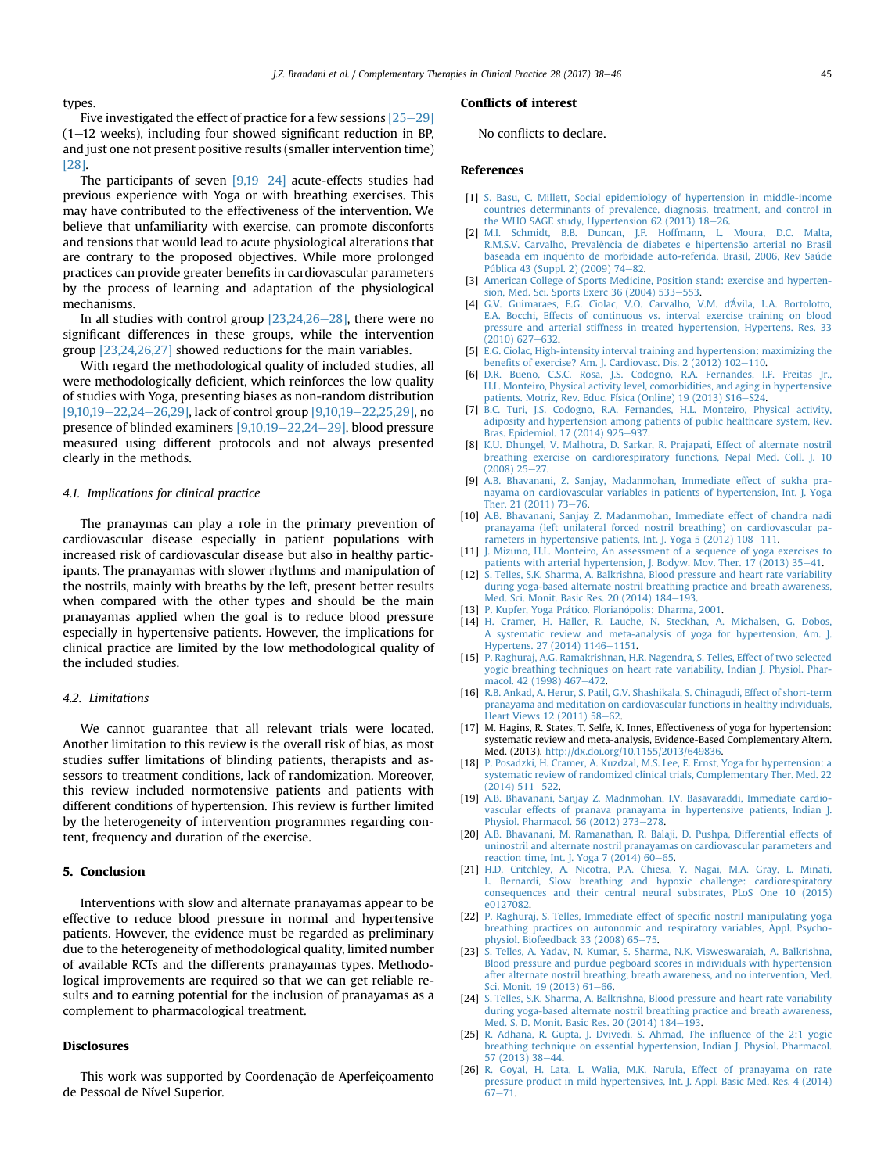<span id="page-7-0"></span>types.

Five investigated the effect of practice for a few sessions  $[25-29]$  $(1-12$  weeks), including four showed significant reduction in BP, and just one not present positive results (smaller intervention time) [\[28\].](#page-8-0)

The participants of seven  $[9,19-24]$  acute-effects studies had previous experience with Yoga or with breathing exercises. This may have contributed to the effectiveness of the intervention. We believe that unfamiliarity with exercise, can promote disconforts and tensions that would lead to acute physiological alterations that are contrary to the proposed objectives. While more prolonged practices can provide greater benefits in cardiovascular parameters by the process of learning and adaptation of the physiological mechanisms.

In all studies with control group  $[23,24,26-28]$ , there were no significant differences in these groups, while the intervention group [23,24,26,27] showed reductions for the main variables.

With regard the methodological quality of included studies, all were methodologically deficient, which reinforces the low quality of studies with Yoga, presenting biases as non-random distribution [9,10,19-22,24-26,29], lack of control group  $[9,10,19-22,25,29]$ , no presence of blinded examiners  $[9,10,19-22,24-29]$ , blood pressure measured using different protocols and not always presented clearly in the methods.

#### 4.1. Implications for clinical practice

The pranaymas can play a role in the primary prevention of cardiovascular disease especially in patient populations with increased risk of cardiovascular disease but also in healthy participants. The pranayamas with slower rhythms and manipulation of the nostrils, mainly with breaths by the left, present better results when compared with the other types and should be the main pranayamas applied when the goal is to reduce blood pressure especially in hypertensive patients. However, the implications for clinical practice are limited by the low methodological quality of the included studies.

#### 4.2. Limitations

We cannot guarantee that all relevant trials were located. Another limitation to this review is the overall risk of bias, as most studies suffer limitations of blinding patients, therapists and assessors to treatment conditions, lack of randomization. Moreover, this review included normotensive patients and patients with different conditions of hypertension. This review is further limited by the heterogeneity of intervention programmes regarding content, frequency and duration of the exercise.

# 5. Conclusion

Interventions with slow and alternate pranayamas appear to be effective to reduce blood pressure in normal and hypertensive patients. However, the evidence must be regarded as preliminary due to the heterogeneity of methodological quality, limited number of available RCTs and the differents pranayamas types. Methodological improvements are required so that we can get reliable results and to earning potential for the inclusion of pranayamas as a complement to pharmacological treatment.

# Disclosures

This work was supported by Coordenação de Aperfeiçoamento de Pessoal de Nível Superior.

## Conflicts of interest

No conflicts to declare.

#### References

- [1] [S. Basu, C. Millett, Social epidemiology of hypertension in middle-income](http://refhub.elsevier.com/S1744-3881(17)30172-X/sref1) [countries determinants of prevalence, diagnosis, treatment, and control in](http://refhub.elsevier.com/S1744-3881(17)30172-X/sref1) the WHO SAGE study, Hypertension 62 (2013)  $18-26$  $18-26$ .
- [2] [M.I. Schmidt, B.B. Duncan, J.F. Hoffmann, L. Moura, D.C. Malta,](http://refhub.elsevier.com/S1744-3881(17)30172-X/sref2) [R.M.S.V. Carvalho, Preval](http://refhub.elsevier.com/S1744-3881(17)30172-X/sref2)ê[ncia de diabetes e hipertens](http://refhub.elsevier.com/S1744-3881(17)30172-X/sref2)ão arterial no Brasil baseada em inquérito de morbidade auto-referida, Brasil, 2006, Rev Saúde [Pública 43 \(Suppl. 2\) \(2009\) 74](http://refhub.elsevier.com/S1744-3881(17)30172-X/sref2)-[82](http://refhub.elsevier.com/S1744-3881(17)30172-X/sref2).
- [3] [American College of Sports Medicine, Position stand: exercise and hyperten](http://refhub.elsevier.com/S1744-3881(17)30172-X/sref3)[sion, Med. Sci. Sports Exerc 36 \(2004\) 533](http://refhub.elsevier.com/S1744-3881(17)30172-X/sref3)-[553](http://refhub.elsevier.com/S1744-3881(17)30172-X/sref3).
- [4] [G.V. Guimar](http://refhub.elsevier.com/S1744-3881(17)30172-X/sref4)ães, E.G. Ciolac, V.O. Carvalho, V.M. d'Ávila, L.A. Bortolotto, [E.A. Bocchi, Effects of continuous vs. interval exercise training on blood](http://refhub.elsevier.com/S1744-3881(17)30172-X/sref4) [pressure and arterial stiffness in treated hypertension, Hypertens. Res. 33](http://refhub.elsevier.com/S1744-3881(17)30172-X/sref4)  $(2010)$  627-[632](http://refhub.elsevier.com/S1744-3881(17)30172-X/sref4).
- [5] [E.G. Ciolac, High-intensity interval training and hypertension: maximizing the](http://refhub.elsevier.com/S1744-3881(17)30172-X/sref5) benefits of exercise? Am. J. Cardiovasc. Dis. 2  $(2012)$  102-[110.](http://refhub.elsevier.com/S1744-3881(17)30172-X/sref5)
- [6] [D.R. Bueno, C.S.C. Rosa, J.S. Codogno, R.A. Fernandes, I.F. Freitas Jr.,](http://refhub.elsevier.com/S1744-3881(17)30172-X/sref6) [H.L. Monteiro, Physical activity level, comorbidities, and aging in hypertensive](http://refhub.elsevier.com/S1744-3881(17)30172-X/sref6) [patients. Motriz, Rev. Educ. Física \(Online\) 19 \(2013\) S16](http://refhub.elsevier.com/S1744-3881(17)30172-X/sref6)-[S24.](http://refhub.elsevier.com/S1744-3881(17)30172-X/sref6)
- [7] [B.C. Turi, J.S. Codogno, R.A. Fernandes, H.L. Monteiro, Physical activity,](http://refhub.elsevier.com/S1744-3881(17)30172-X/sref7) [adiposity and hypertension among patients of public healthcare system, Rev.](http://refhub.elsevier.com/S1744-3881(17)30172-X/sref7) [Bras. Epidemiol. 17 \(2014\) 925](http://refhub.elsevier.com/S1744-3881(17)30172-X/sref7)-[937](http://refhub.elsevier.com/S1744-3881(17)30172-X/sref7).
- [8] [K.U. Dhungel, V. Malhotra, D. Sarkar, R. Prajapati, Effect of alternate nostril](http://refhub.elsevier.com/S1744-3881(17)30172-X/sref8) [breathing exercise on cardiorespiratory functions, Nepal Med. Coll. J. 10](http://refhub.elsevier.com/S1744-3881(17)30172-X/sref8)  $(2008)$   $25-27$ .
- [9] [A.B. Bhavanani, Z. Sanjay, Madanmohan, Immediate effect of sukha pra](http://refhub.elsevier.com/S1744-3881(17)30172-X/sref9)[nayama on cardiovascular variables in patients of hypertension, Int. J. Yoga](http://refhub.elsevier.com/S1744-3881(17)30172-X/sref9) [Ther. 21 \(2011\) 73](http://refhub.elsevier.com/S1744-3881(17)30172-X/sref9)-[76](http://refhub.elsevier.com/S1744-3881(17)30172-X/sref9).
- [10] [A.B. Bhavanani, Sanjay Z. Madanmohan, Immediate effect of chandra nadi](http://refhub.elsevier.com/S1744-3881(17)30172-X/sref10) [pranayama \(left unilateral forced nostril breathing\) on cardiovascular pa](http://refhub.elsevier.com/S1744-3881(17)30172-X/sref10)[rameters in hypertensive patients, Int. J. Yoga 5 \(2012\) 108](http://refhub.elsevier.com/S1744-3881(17)30172-X/sref10)-[111.](http://refhub.elsevier.com/S1744-3881(17)30172-X/sref10)
- [11] [J. Mizuno, H.L. Monteiro, An assessment of a sequence of yoga exercises to](http://refhub.elsevier.com/S1744-3881(17)30172-X/sref11) patients with arterial hypertension, J. Bodyw. Mov. Ther.  $17$  (2013) 35–[41.](http://refhub.elsevier.com/S1744-3881(17)30172-X/sref11)
- [12] [S. Telles, S.K. Sharma, A. Balkrishna, Blood pressure and heart rate variability](http://refhub.elsevier.com/S1744-3881(17)30172-X/sref12) [during yoga-based alternate nostril breathing practice and breath awareness,](http://refhub.elsevier.com/S1744-3881(17)30172-X/sref12)
- [Med. Sci. Monit. Basic Res. 20 \(2014\) 184](http://refhub.elsevier.com/S1744-3881(17)30172-X/sref12)-[193.](http://refhub.elsevier.com/S1744-3881(17)30172-X/sref12)
- [13] P. Kupfer, Yoga Prático. Florianó[polis: Dharma, 2001](http://refhub.elsevier.com/S1744-3881(17)30172-X/sref13).
- [14] [H. Cramer, H. Haller, R. Lauche, N. Steckhan, A. Michalsen, G. Dobos,](http://refhub.elsevier.com/S1744-3881(17)30172-X/sref14) [A systematic review and meta-analysis of yoga for hypertension, Am. J.](http://refhub.elsevier.com/S1744-3881(17)30172-X/sref14) [Hypertens. 27 \(2014\) 1146](http://refhub.elsevier.com/S1744-3881(17)30172-X/sref14)-[1151](http://refhub.elsevier.com/S1744-3881(17)30172-X/sref14).
- [15] [P. Raghuraj, A.G. Ramakrishnan, H.R. Nagendra, S. Telles, Effect of two selected](http://refhub.elsevier.com/S1744-3881(17)30172-X/sref15) [yogic breathing techniques on heart rate variability, Indian J. Physiol. Phar](http://refhub.elsevier.com/S1744-3881(17)30172-X/sref15)[macol. 42 \(1998\) 467](http://refhub.elsevier.com/S1744-3881(17)30172-X/sref15)-[472](http://refhub.elsevier.com/S1744-3881(17)30172-X/sref15).
- [16] [R.B. Ankad, A. Herur, S. Patil, G.V. Shashikala, S. Chinagudi, Effect of short-term](http://refhub.elsevier.com/S1744-3881(17)30172-X/sref16) [pranayama and meditation on cardiovascular functions in healthy individuals,](http://refhub.elsevier.com/S1744-3881(17)30172-X/sref16) [Heart Views 12 \(2011\) 58](http://refhub.elsevier.com/S1744-3881(17)30172-X/sref16)-[62.](http://refhub.elsevier.com/S1744-3881(17)30172-X/sref16)
- [17] M. Hagins, R. States, T. Selfe, K. Innes, Effectiveness of yoga for hypertension: systematic review and meta-analysis, Evidence-Based Complementary Altern. Med. (2013). [http://dx.doi.org/10.1155/2013/649836.](http://dx.doi.org/10.1155/2013/649836)
- [18] [P. Posadzki, H. Cramer, A. Kuzdzal, M.S. Lee, E. Ernst, Yoga for hypertension: a](http://refhub.elsevier.com/S1744-3881(17)30172-X/sref18) [systematic review of randomized clinical trials, Complementary Ther. Med. 22](http://refhub.elsevier.com/S1744-3881(17)30172-X/sref18)  $(2014)$  511-[522.](http://refhub.elsevier.com/S1744-3881(17)30172-X/sref18)
- [19] [A.B. Bhavanani, Sanjay Z. Madnmohan, I.V. Basavaraddi, Immediate cardio](http://refhub.elsevier.com/S1744-3881(17)30172-X/sref19)[vascular effects of pranava pranayama in hypertensive patients, Indian J.](http://refhub.elsevier.com/S1744-3881(17)30172-X/sref19) [Physiol. Pharmacol. 56 \(2012\) 273](http://refhub.elsevier.com/S1744-3881(17)30172-X/sref19)-[278.](http://refhub.elsevier.com/S1744-3881(17)30172-X/sref19)
- [20] [A.B. Bhavanani, M. Ramanathan, R. Balaji, D. Pushpa, Differential effects of](http://refhub.elsevier.com/S1744-3881(17)30172-X/sref20) [uninostril and alternate nostril pranayamas on cardiovascular parameters and](http://refhub.elsevier.com/S1744-3881(17)30172-X/sref20) reaction time, Int. J. Yoga 7 (2014)  $60-65$ .
- [21] [H.D. Critchley, A. Nicotra, P.A. Chiesa, Y. Nagai, M.A. Gray, L. Minati,](http://refhub.elsevier.com/S1744-3881(17)30172-X/sref21) [L. Bernardi, Slow breathing and hypoxic challenge: cardiorespiratory](http://refhub.elsevier.com/S1744-3881(17)30172-X/sref21) [consequences and their central neural substrates, PLoS One 10 \(2015\)](http://refhub.elsevier.com/S1744-3881(17)30172-X/sref21) [e0127082.](http://refhub.elsevier.com/S1744-3881(17)30172-X/sref21)
- [22] [P. Raghuraj, S. Telles, Immediate effect of speci](http://refhub.elsevier.com/S1744-3881(17)30172-X/sref22)fic nostril manipulating yoga [breathing practices on autonomic and respiratory variables, Appl. Psycho](http://refhub.elsevier.com/S1744-3881(17)30172-X/sref22)physiol. Biofeedback 33 (2008)  $65-75$  $65-75$ .
- [23] [S. Telles, A. Yadav, N. Kumar, S. Sharma, N.K. Visweswaraiah, A. Balkrishna,](http://refhub.elsevier.com/S1744-3881(17)30172-X/sref23) [Blood pressure and purdue pegboard scores in individuals with hypertension](http://refhub.elsevier.com/S1744-3881(17)30172-X/sref23) [after alternate nostril breathing, breath awareness, and no intervention, Med.](http://refhub.elsevier.com/S1744-3881(17)30172-X/sref23) [Sci. Monit. 19 \(2013\) 61](http://refhub.elsevier.com/S1744-3881(17)30172-X/sref23)-[66](http://refhub.elsevier.com/S1744-3881(17)30172-X/sref23).
- [24] [S. Telles, S.K. Sharma, A. Balkrishna, Blood pressure and heart rate variability](http://refhub.elsevier.com/S1744-3881(17)30172-X/sref24) [during yoga-based alternate nostril breathing practice and breath awareness,](http://refhub.elsevier.com/S1744-3881(17)30172-X/sref24) [Med. S. D. Monit. Basic Res. 20 \(2014\) 184](http://refhub.elsevier.com/S1744-3881(17)30172-X/sref24)-[193](http://refhub.elsevier.com/S1744-3881(17)30172-X/sref24).
- [25] [R. Adhana, R. Gupta, J. Dvivedi, S. Ahmad, The in](http://refhub.elsevier.com/S1744-3881(17)30172-X/sref25)fluence of the 2:1 yogic [breathing technique on essential hypertension, Indian J. Physiol. Pharmacol.](http://refhub.elsevier.com/S1744-3881(17)30172-X/sref25) [57 \(2013\) 38](http://refhub.elsevier.com/S1744-3881(17)30172-X/sref25)-[44.](http://refhub.elsevier.com/S1744-3881(17)30172-X/sref25)
- [26] [R. Goyal, H. Lata, L. Walia, M.K. Narula, Effect of pranayama on rate](http://refhub.elsevier.com/S1744-3881(17)30172-X/sref26) [pressure product in mild hypertensives, Int. J. Appl. Basic Med. Res. 4 \(2014\)](http://refhub.elsevier.com/S1744-3881(17)30172-X/sref26)  $67 - 71.$  $67 - 71.$  $67 - 71.$